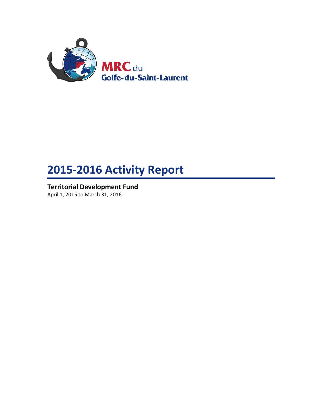

# **2015-2016 Activity Report**

**Territorial Development Fund** April 1, 2015 to March 31, 2016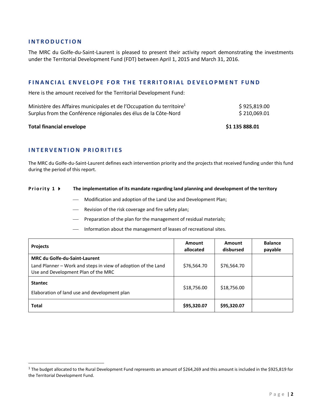## **I N T R O D U C T I O N**

The MRC du Golfe-du-Saint-Laurent is pleased to present their activity report demonstrating the investments under the Territorial Development Fund (FDT) between April 1, 2015 and March 31, 2016.

### **F I N A N C I A L E N V E L O P E F O R T H E T E R R I T O R I A L D E V E L O P M E N T F U N D**

Here is the amount received for the Territorial Development Fund:

|                                                                                  | $\blacksquare$ . The contract of the contract of the contract of the contract of the contract of the contract of the contract of the contract of the contract of the contract of the contract of the contract of the contract of the |
|----------------------------------------------------------------------------------|--------------------------------------------------------------------------------------------------------------------------------------------------------------------------------------------------------------------------------------|
| Surplus from the Conférence régionales des élus de la Côte-Nord                  | \$210,069.01                                                                                                                                                                                                                         |
| Ministère des Affaires municipales et de l'Occupation du territoire <sup>1</sup> | \$925,819.00                                                                                                                                                                                                                         |

#### **Total financial envelope \$1 135 888.01**

 $\overline{\phantom{a}}$ 

# **I N T E R V E N T I O N P R I O R I T I E S**

The MRC du Golfe-du-Saint-Laurent defines each intervention priority and the projects that received funding under this fund during the period of this report.

#### **Priority 1**  $\rightarrow$  The implementation of its mandate regarding land planning and development of the territory

- Modification and adoption of the Land Use and Development Plan;
- Revision of the risk coverage and fire safety plan;
- Preparation of the plan for the management of residual materials;
- Information about the management of leases of recreational sites.

| <b>Projects</b>                                                                                                                              | Amount<br>allocated | Amount<br>disbursed | <b>Balance</b><br>payable |
|----------------------------------------------------------------------------------------------------------------------------------------------|---------------------|---------------------|---------------------------|
| <b>MRC du Golfe-du-Saint-Laurent</b><br>Land Planner - Work and steps in view of adoption of the Land<br>Use and Development Plan of the MRC | \$76,564.70         | \$76,564.70         |                           |
| <b>Stantec</b><br>Elaboration of land use and development plan                                                                               | \$18,756.00         | \$18,756.00         |                           |
| <b>Total</b>                                                                                                                                 | \$95,320.07         | \$95,320.07         |                           |

<sup>&</sup>lt;sup>1</sup> The budget allocated to the Rural Development Fund represents an amount of \$264,269 and this amount is included in the \$925,819 for the Territorial Development Fund.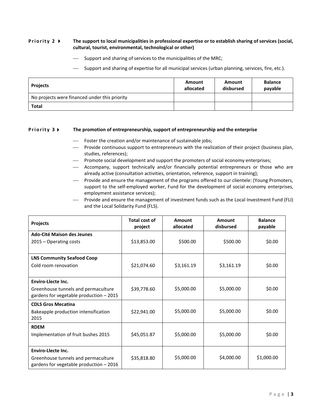#### **Priority 2 •** The support to local municipalities in professional expertise or to establish sharing of services (social, **cultural, tourist, environmental, technological or other)**

- $-$  Support and sharing of services to the municipalities of the MRC;
- Support and sharing of expertise for all municipal services (urban planning, services, fire, etc.).

| <b>Projects</b>                               | Amount<br>allocated | Amount<br>disbursed | <b>Balance</b><br>payable |
|-----------------------------------------------|---------------------|---------------------|---------------------------|
| No projects were financed under this priority |                     |                     |                           |
| <b>Total</b>                                  |                     |                     |                           |

#### **Priority 3 FI** The promotion of entrepreneurship, support of entrepreneurship and the enterprise

- Foster the creation and/or maintenance of sustainable jobs;
- Provide continuous support to entrepreneurs with the realization of their project (business plan, studies, references);
- Promote social development and support the promoters of social economy enterprises;
- Accompany, support technically and/or financially potential entrepreneurs or those who are already active (consultation activities, orientation, reference, support in training);
- Provide and ensure the management of the programs offered to our clientele: (Young Promoters, support to the self-employed worker, Fund for the development of social economy enterprises, employment assistance services);
- Provide and ensure the management of investment funds such as the Local Investment Fund (FLI) and the Local Solidarity Fund (FLS).

| Projects                                 | Total cost of<br>project | Amount<br>allocated | Amount<br>disbursed | <b>Balance</b><br>payable |
|------------------------------------------|--------------------------|---------------------|---------------------|---------------------------|
| <b>Ado-Cité Maison des Jeunes</b>        |                          |                     |                     |                           |
| 2015 – Operating costs                   | \$13,853.00              | \$500.00            | \$500.00            | \$0.00                    |
|                                          |                          |                     |                     |                           |
| <b>LNS Community Seafood Coop</b>        |                          |                     |                     |                           |
| Cold room renovation                     | \$21,074.60              | \$3,161.19          | \$3,161.19          | \$0.00                    |
|                                          |                          |                     |                     |                           |
| Enviro-Llecte Inc.                       |                          |                     |                     |                           |
| Greenhouse tunnels and permaculture      | \$39,778.60              | \$5,000.00          | \$5,000.00          | \$0.00                    |
| gardens for vegetable production - 2015  |                          |                     |                     |                           |
| <b>CDLS Gros Mecatina</b>                |                          |                     |                     |                           |
| Bakeapple production intensification     | \$22,941.00              | \$5,000.00          | \$5,000.00          | \$0.00                    |
| 2015                                     |                          |                     |                     |                           |
| <b>RDEM</b>                              |                          |                     |                     |                           |
| Implementation of fruit bushes 2015      | \$45,051.87              | \$5,000.00          | \$5,000.00          | \$0.00                    |
|                                          |                          |                     |                     |                           |
| Enviro-Llecte Inc.                       |                          |                     |                     |                           |
| Greenhouse tunnels and permaculture      | \$35,818.80              | \$5,000.00          | \$4,000.00          | \$1,000.00                |
| gardens for vegetable production $-2016$ |                          |                     |                     |                           |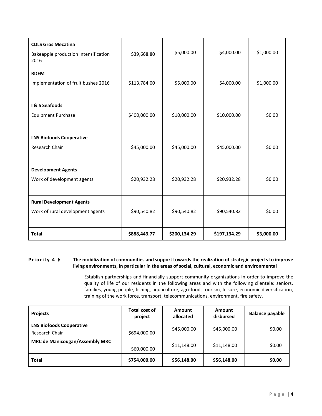| <b>CDLS Gros Mecatina</b><br>Bakeapple production intensification<br>2016 | \$39,668.80  | \$5,000.00   | \$4,000.00   | \$1,000.00 |
|---------------------------------------------------------------------------|--------------|--------------|--------------|------------|
| <b>RDEM</b><br>Implementation of fruit bushes 2016                        | \$113,784.00 | \$5,000.00   | \$4,000.00   | \$1,000.00 |
| I & S Seafoods<br><b>Equipment Purchase</b>                               | \$400,000.00 | \$10,000.00  | \$10,000.00  | \$0.00     |
| <b>LNS Biofoods Cooperative</b><br>Research Chair                         | \$45,000.00  | \$45,000.00  | \$45,000.00  | \$0.00     |
| <b>Development Agents</b><br>Work of development agents                   | \$20,932.28  | \$20,932.28  | \$20,932.28  | \$0.00     |
| <b>Rural Development Agents</b><br>Work of rural development agents       | \$90,540.82  | \$90,540.82  | \$90,540.82  | \$0.00     |
| <b>Total</b>                                                              | \$888,443.77 | \$200,134.29 | \$197,134.29 | \$3,000.00 |

### **Priority 4**  $\blacktriangleright$  The mobilization of communities and support towards the realization of strategic projects to improve **living environments, in particular in the areas of social, cultural, economic and environmental**

 Establish partnerships and financially support community organizations in order to improve the quality of life of our residents in the following areas and with the following clientele: seniors, families, young people, fishing, aquaculture, agri-food, tourism, leisure, economic diversification, training of the work force, transport, telecommunications, environment, fire safety.

| <b>Projects</b>                                   | <b>Total cost of</b><br>project | <b>Amount</b><br>allocated | <b>Amount</b><br>disbursed | <b>Balance payable</b> |
|---------------------------------------------------|---------------------------------|----------------------------|----------------------------|------------------------|
| <b>LNS Biofoods Cooperative</b><br>Research Chair | \$694,000.00                    | \$45,000.00                | \$45,000.00                | \$0.00                 |
| <b>MRC de Manicougan/Assembly MRC</b>             | \$60,000.00                     | \$11,148.00                | \$11,148.00                | \$0.00                 |
| <b>Total</b>                                      | \$754,000.00                    | \$56,148.00                | \$56,148.00                | \$0.00                 |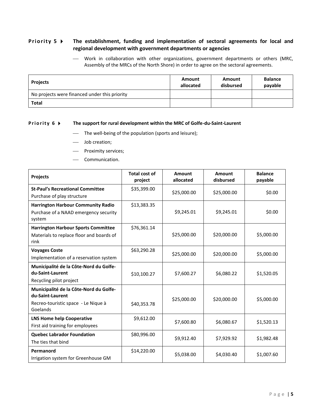# **Priority 5**  $\triangleright$  The establishment, funding and implementation of sectoral agreements for local and **regional development with government departments or agencies**

 Work in collaboration with other organizations, government departments or others (MRC, Assembly of the MRCs of the North Shore) in order to agree on the sectoral agreements.

| <b>Projects</b>                               | Amount<br>allocated | Amount<br>disbursed | <b>Balance</b><br>payable |
|-----------------------------------------------|---------------------|---------------------|---------------------------|
| No projects were financed under this priority |                     |                     |                           |
| <b>Total</b>                                  |                     |                     |                           |

#### **Priority 6**  $\triangleright$  The support for rural development within the MRC of Golfe-du-Saint-Laurent

- The well-being of the population (sports and leisure);
- Job creation;
- Proximity services;
- Communication.

| <b>Projects</b>                                                                                               | <b>Total cost of</b><br>project | Amount<br>allocated | Amount<br>disbursed | <b>Balance</b><br>payable |
|---------------------------------------------------------------------------------------------------------------|---------------------------------|---------------------|---------------------|---------------------------|
| <b>St-Paul's Recreational Committee</b><br>Purchase of play structure                                         | \$35,399.00                     | \$25,000.00         | \$25,000.00         | \$0.00                    |
| <b>Harrington Harbour Community Radio</b><br>Purchase of a NAAD emergency security<br>system                  | \$13,383.35                     | \$9,245.01          | \$9,245.01          | \$0.00                    |
| <b>Harrington Harbour Sports Committee</b><br>Materials to replace floor and boards of<br>rink                | \$76,361.14                     | \$25,000.00         | \$20,000.00         | \$5,000.00                |
| <b>Voyages Coste</b><br>Implementation of a reservation system                                                | \$63,290.28                     | \$25,000.00         | \$20,000.00         | \$5,000.00                |
| Municipalité de la Côte-Nord du Golfe-<br>du-Saint-Laurent<br>Recycling pilot project                         | \$10,100.27                     | \$7,600.27          | \$6,080.22          | \$1,520.05                |
| Municipalité de la Côte-Nord du Golfe-<br>du-Saint-Laurent<br>Recreo-touristic space - Le Nique à<br>Goelands | \$40,353.78                     | \$25,000.00         | \$20,000.00         | \$5,000.00                |
| <b>LNS Home help Cooperative</b><br>First aid training for employees                                          | \$9,612.00                      | \$7,600.80          | \$6,080.67          | \$1,520.13                |
| <b>Quebec Labrador Foundation</b><br>The ties that bind                                                       | \$80,996.00                     | \$9,912.40          | \$7,929.92          | \$1,982.48                |
| Permanord<br>Irrigation system for Greenhouse GM                                                              | \$14,220.00                     | \$5,038.00          | \$4,030.40          | \$1,007.60                |